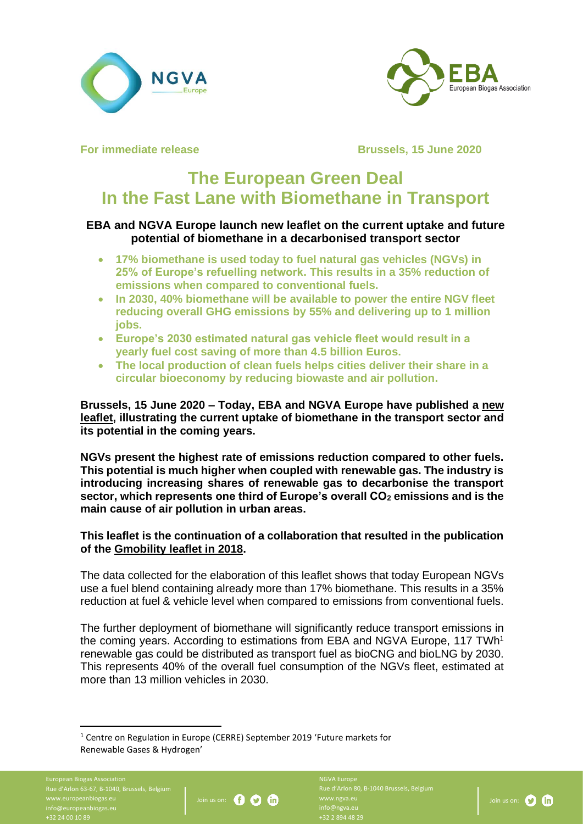



**For immediate release <b>Brussels**, 15 June 2020

# **The European Green Deal In the Fast Lane with Biomethane in Transport**

## **EBA and NGVA Europe launch new leaflet on the current uptake and future potential of biomethane in a decarbonised transport sector**

- **17% biomethane is used today to fuel natural gas vehicles (NGVs) in 25% of Europe's refuelling network. This results in a 35% reduction of emissions when compared to conventional fuels.**
- **In 2030, 40% biomethane will be available to power the entire NGV fleet reducing overall GHG emissions by 55% and delivering up to 1 million jobs.**
- **Europe's 2030 estimated natural gas vehicle fleet would result in a yearly fuel cost saving of more than 4.5 billion Euros.**
- **The local production of clean fuels helps cities deliver their share in a circular bioeconomy by reducing biowaste and air pollution.**

**Brussels, 15 June 2020 – Today, EBA and NGVA Europe have published a [new](https://www.europeanbiogas.eu/wp-content/uploads/2020/06/EBA_NGVA-Europe_TheEuropeanGreenDeal_FastLaneTransport_20200615_spread.pdf)  [leaflet,](https://www.europeanbiogas.eu/wp-content/uploads/2020/06/EBA_NGVA-Europe_TheEuropeanGreenDeal_FastLaneTransport_20200615_spread.pdf) illustrating the current uptake of biomethane in the transport sector and its potential in the coming years.**

**NGVs present the highest rate of emissions reduction compared to other fuels. This potential is much higher when coupled with renewable gas. The industry is introducing increasing shares of renewable gas to decarbonise the transport sector, which represents one third of Europe's overall CO<sup>2</sup> emissions and is the main cause of air pollution in urban areas.**

### **This leaflet is the continuation of a collaboration that resulted in the publication of the [Gmobility leaflet in 2018.](https://www.europeanbiogas.eu/wp-content/uploads/2019/05/g-mobility_Driving-Circular-Economy-in-Transport_180903-FINAL-1.pdf)**

The data collected for the elaboration of this leaflet shows that today European NGVs use a fuel blend containing already more than 17% biomethane. This results in a 35% reduction at fuel & vehicle level when compared to emissions from conventional fuels.

The further deployment of biomethane will significantly reduce transport emissions in the coming years. According to estimations from EBA and NGVA Europe, 117 TWh<sup>1</sup> renewable gas could be distributed as transport fuel as bioCNG and bioLNG by 2030. This represents 40% of the overall fuel consumption of the NGVs fleet, estimated at more than 13 million vehicles in 2030.

European Biogas Association Rue d'Arlon 63-67, B-1040, Brussels, Belgium info@europeanbiogas.eu +32 24 00 10 89



Rue d'Arlon 80, B-1040 Brussels, Belgium info@ngva.eu +32 2 894 48 29



<sup>1</sup> Centre on Regulation in Europe (CERRE) September 2019 'Future markets for Renewable Gases & Hydrogen'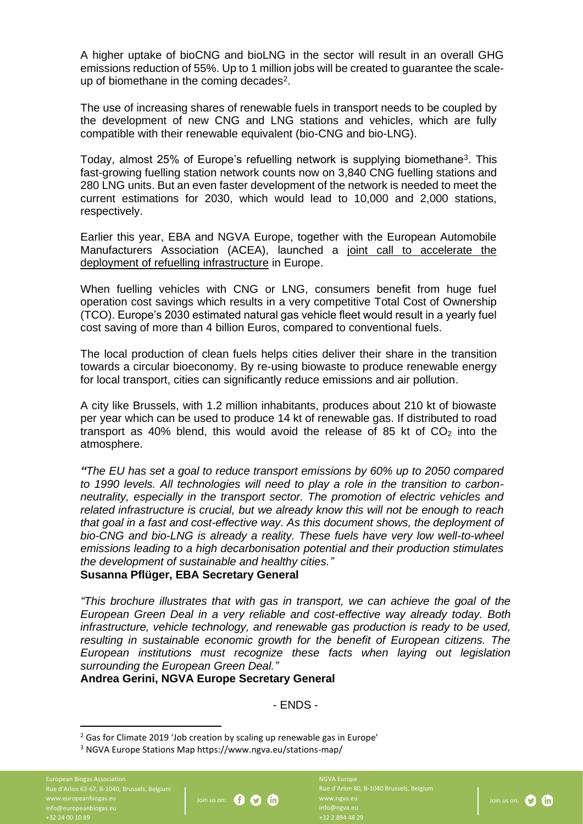A higher uptake of bioCNG and bioLNG in the sector will result in an overall GHG emissions reduction of 55%. Up to 1 million jobs will be created to guarantee the scaleup of biomethane in the coming decades<sup>2</sup>.

The use of increasing shares of renewable fuels in transport needs to be coupled by the development of new CNG and LNG stations and vehicles, which are fully compatible with their renewable equivalent (bio-CNG and bio-LNG).

Today, almost 25% of Europe's refuelling network is supplying biomethane<sup>3</sup>. This fast-growing fuelling station network counts now on 3,840 CNG fuelling stations and 280 LNG units. But an even faster development of the network is needed to meet the current estimations for 2030, which would lead to 10,000 and 2,000 stations, respectively.

Earlier this year, EBA and NGVA Europe, together with the European Automobile Manufacturers Association (ACEA), launched a joint call to accelerate the [deployment of refuelling infrastructure](https://www.ngva.eu/medias/joint-call-for-the-acceleration-of-the-deployment-of-natural-and-renewable-gas-and-its-refuelling-infrastructure-across-the-eu-pr/) in Europe.

When fuelling vehicles with CNG or LNG, consumers benefit from huge fuel operation cost savings which results in a very competitive Total Cost of Ownership (TCO). Europe's 2030 estimated natural gas vehicle fleet would result in a yearly fuel cost saving of more than 4 billion Euros, compared to conventional fuels.

The local production of clean fuels helps cities deliver their share in the transition towards a circular bioeconomy. By re-using biowaste to produce renewable energy for local transport, cities can significantly reduce emissions and air pollution.

A city like Brussels, with 1.2 million inhabitants, produces about 210 kt of biowaste per year which can be used to produce 14 kt of renewable gas. If distributed to road transport as 40% blend, this would avoid the release of 85 kt of  $CO<sub>2</sub>$  into the atmosphere.

*"The EU has set a goal to reduce transport emissions by 60% up to 2050 compared to 1990 levels. All technologies will need to play a role in the transition to carbonneutrality, especially in the transport sector. The promotion of electric vehicles and related infrastructure is crucial, but we already know this will not be enough to reach that goal in a fast and cost-effective way. As this document shows, the deployment of bio-CNG and bio-LNG is already a reality. These fuels have very low well-to-wheel emissions leading to a high decarbonisation potential and their production stimulates the development of sustainable and healthy cities."*

#### **Susanna Pflüger, EBA Secretary General**

*"This brochure illustrates that with gas in transport, we can achieve the goal of the European Green Deal in a very reliable and cost-effective way already today. Both infrastructure, vehicle technology, and renewable gas production is ready to be used, resulting in sustainable economic growth for the benefit of European citizens. The European institutions must recognize these facts when laying out legislation surrounding the European Green Deal."*

#### **Andrea Gerini, NGVA Europe Secretary General**

- ENDS -

European Biogas Association Rue d'Arlon 63-67, B-1040, Brussels, Belgium info@europeanbiogas.eu +32 24 00 10 89



Rue d'Arlon 80, B-1040 Brussels, Belgium info@ngva.eu +32 2 894 48 29

Join us on: 0 **0** 

<sup>&</sup>lt;sup>2</sup> Gas for Climate 2019 'Job creation by scaling up renewable gas in Europe'

<sup>3</sup> NGVA Europe Stations Map https://www.ngva.eu/stations-map/